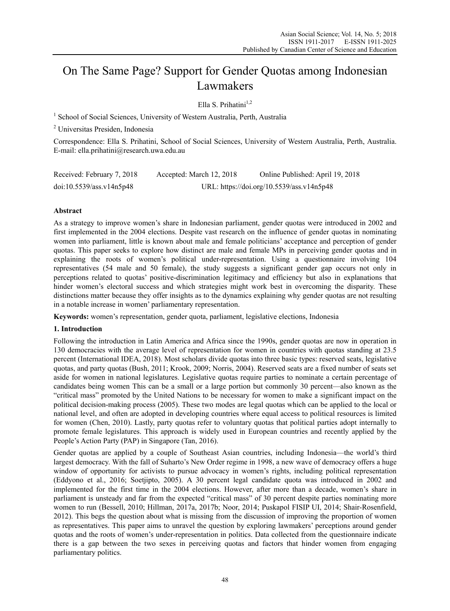# On The Same Page? Support for Gender Quotas among Indonesian Lawmakers

Ella S. Prihatini $1,2$ 

<sup>1</sup> School of Social Sciences, University of Western Australia, Perth, Australia

2 Universitas Presiden, Indonesia

Correspondence: Ella S. Prihatini, School of Social Sciences, University of Western Australia, Perth, Australia. E-mail: ella.prihatini@research.uwa.edu.au

| Received: February 7, 2018 | Accepted: March 12, 2018 | Online Published: April 19, 2018          |
|----------------------------|--------------------------|-------------------------------------------|
| doi:10.5539/ass.v14n5p48   |                          | URL: https://doi.org/10.5539/ass.v14n5p48 |

# **Abstract**

As a strategy to improve women's share in Indonesian parliament, gender quotas were introduced in 2002 and first implemented in the 2004 elections. Despite vast research on the influence of gender quotas in nominating women into parliament, little is known about male and female politicians' acceptance and perception of gender quotas. This paper seeks to explore how distinct are male and female MPs in perceiving gender quotas and in explaining the roots of women's political under-representation. Using a questionnaire involving 104 representatives (54 male and 50 female), the study suggests a significant gender gap occurs not only in perceptions related to quotas' positive-discrimination legitimacy and efficiency but also in explanations that hinder women's electoral success and which strategies might work best in overcoming the disparity. These distinctions matter because they offer insights as to the dynamics explaining why gender quotas are not resulting in a notable increase in women' parliamentary representation.

**Keywords:** women's representation, gender quota, parliament, legislative elections, Indonesia

# **1. Introduction**

Following the introduction in Latin America and Africa since the 1990s, gender quotas are now in operation in 130 democracies with the average level of representation for women in countries with quotas standing at 23.5 percent (International IDEA, 2018). Most scholars divide quotas into three basic types: reserved seats, legislative quotas, and party quotas (Bush, 2011; Krook, 2009; Norris, 2004). Reserved seats are a fixed number of seats set aside for women in national legislatures. Legislative quotas require parties to nominate a certain percentage of candidates being women This can be a small or a large portion but commonly 30 percent—also known as the "critical mass" promoted by the United Nations to be necessary for women to make a significant impact on the political decision-making process (2005). These two modes are legal quotas which can be applied to the local or national level, and often are adopted in developing countries where equal access to political resources is limited for women (Chen, 2010). Lastly, party quotas refer to voluntary quotas that political parties adopt internally to promote female legislatures. This approach is widely used in European countries and recently applied by the People's Action Party (PAP) in Singapore (Tan, 2016).

Gender quotas are applied by a couple of Southeast Asian countries, including Indonesia—the world's third largest democracy. With the fall of Suharto's New Order regime in 1998, a new wave of democracy offers a huge window of opportunity for activists to pursue advocacy in women's rights, including political representation (Eddyono et al., 2016; Soetjipto, 2005). A 30 percent legal candidate quota was introduced in 2002 and implemented for the first time in the 2004 elections. However, after more than a decade, women's share in parliament is unsteady and far from the expected "critical mass" of 30 percent despite parties nominating more women to run (Bessell, 2010; Hillman, 2017a, 2017b; Noor, 2014; Puskapol FISIP UI, 2014; Shair-Rosenfield, 2012). This begs the question about what is missing from the discussion of improving the proportion of women as representatives. This paper aims to unravel the question by exploring lawmakers' perceptions around gender quotas and the roots of women's under-representation in politics. Data collected from the questionnaire indicate there is a gap between the two sexes in perceiving quotas and factors that hinder women from engaging parliamentary politics.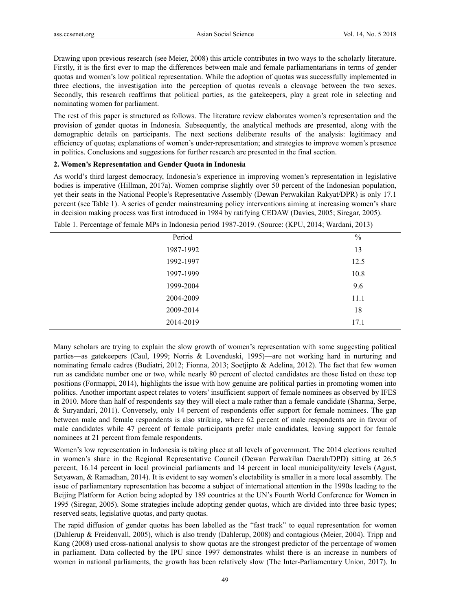Drawing upon previous research (see Meier, 2008) this article contributes in two ways to the scholarly literature. Firstly, it is the first ever to map the differences between male and female parliamentarians in terms of gender quotas and women's low political representation. While the adoption of quotas was successfully implemented in three elections, the investigation into the perception of quotas reveals a cleavage between the two sexes. Secondly, this research reaffirms that political parties, as the gatekeepers, play a great role in selecting and nominating women for parliament.

The rest of this paper is structured as follows. The literature review elaborates women's representation and the provision of gender quotas in Indonesia. Subsequently, the analytical methods are presented, along with the demographic details on participants. The next sections deliberate results of the analysis: legitimacy and efficiency of quotas; explanations of women's under-representation; and strategies to improve women's presence in politics. Conclusions and suggestions for further research are presented in the final section.

#### **2. Women's Representation and Gender Quota in Indonesia**

As world's third largest democracy, Indonesia's experience in improving women's representation in legislative bodies is imperative (Hillman, 2017a). Women comprise slightly over 50 percent of the Indonesian population, yet their seats in the National People's Representative Assembly (Dewan Perwakilan Rakyat/DPR) is only 17.1 percent (see Table 1). A series of gender mainstreaming policy interventions aiming at increasing women's share in decision making process was first introduced in 1984 by ratifying CEDAW (Davies, 2005; Siregar, 2005).

| Period    | $\%$ |
|-----------|------|
| 1987-1992 | 13   |
| 1992-1997 | 12.5 |
| 1997-1999 | 10.8 |
| 1999-2004 | 9.6  |
| 2004-2009 | 11.1 |
| 2009-2014 | 18   |
| 2014-2019 | 17.1 |
|           |      |

Table 1. Percentage of female MPs in Indonesia period 1987-2019. (Source: (KPU, 2014; Wardani, 2013)

Many scholars are trying to explain the slow growth of women's representation with some suggesting political parties—as gatekeepers (Caul, 1999; Norris & Lovenduski, 1995)—are not working hard in nurturing and nominating female cadres (Budiatri, 2012; Fionna, 2013; Soetjipto & Adelina, 2012). The fact that few women run as candidate number one or two, while nearly 80 percent of elected candidates are those listed on these top positions (Formappi, 2014), highlights the issue with how genuine are political parties in promoting women into politics. Another important aspect relates to voters' insufficient support of female nominees as observed by IFES in 2010. More than half of respondents say they will elect a male rather than a female candidate (Sharma, Serpe, & Suryandari, 2011). Conversely, only 14 percent of respondents offer support for female nominees. The gap between male and female respondents is also striking, where 62 percent of male respondents are in favour of male candidates while 47 percent of female participants prefer male candidates, leaving support for female nominees at 21 percent from female respondents.

Women's low representation in Indonesia is taking place at all levels of government. The 2014 elections resulted in women's share in the Regional Representative Council (Dewan Perwakilan Daerah/DPD) sitting at 26.5 percent, 16.14 percent in local provincial parliaments and 14 percent in local municipality/city levels (Agust, Setyawan, & Ramadhan, 2014). It is evident to say women's electability is smaller in a more local assembly. The issue of parliamentary representation has become a subject of international attention in the 1990s leading to the Beijing Platform for Action being adopted by 189 countries at the UN's Fourth World Conference for Women in 1995 (Siregar, 2005). Some strategies include adopting gender quotas, which are divided into three basic types; reserved seats, legislative quotas, and party quotas.

The rapid diffusion of gender quotas has been labelled as the "fast track" to equal representation for women (Dahlerup & Freidenvall, 2005), which is also trendy (Dahlerup, 2008) and contagious (Meier, 2004). Tripp and Kang (2008) used cross-national analysis to show quotas are the strongest predictor of the percentage of women in parliament. Data collected by the IPU since 1997 demonstrates whilst there is an increase in numbers of women in national parliaments, the growth has been relatively slow (The Inter-Parliamentary Union, 2017). In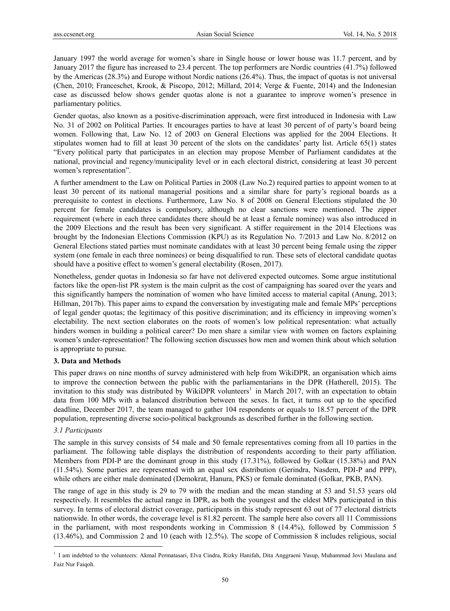January 1997 the world average for women's share in Single house or lower house was 11.7 percent, and by January 2017 the figure has increased to 23.4 percent. The top performers are Nordic countries (41.7%) followed by the Americas (28.3%) and Europe without Nordic nations (26.4%). Thus, the impact of quotas is not universal (Chen, 2010; Franceschet, Krook, & Piscopo, 2012; Millard, 2014; Verge & Fuente, 2014) and the Indonesian case as discussed below shows gender quotas alone is not a guarantee to improve women's presence in parliamentary politics.

Gender quotas, also known as a positive-discrimination approach, were first introduced in Indonesia with Law No. 31 of 2002 on Political Parties. It encourages parties to have at least 30 percent of of party's board being women. Following that, Law No. 12 of 2003 on General Elections was applied for the 2004 Elections. It stipulates women had to fill at least 30 percent of the slots on the candidates' party list. Article 65(1) states "Every political party that participates in an election may propose Member of Parliament candidates at the national, provincial and regency/municipality level or in each electoral district, considering at least 30 percent women's representation".

A further amendment to the Law on Political Parties in 2008 (Law No.2) required parties to appoint women to at least 30 percent of its national managerial positions and a similar share for party's regional boards as a prerequisite to contest in elections. Furthermore, Law No. 8 of 2008 on General Elections stipulated the 30 percent for female candidates is compulsory, although no clear sanctions were mentioned. The zipper requirement (where in each three candidates there should be at least a female nominee) was also introduced in the 2009 Elections and the result has been very significant. A stiffer requirement in the 2014 Elections was brought by the Indonesian Elections Commission (KPU) as its Regulation No. 7/2013 and Law No. 8/2012 on General Elections stated parties must nominate candidates with at least 30 percent being female using the zipper system (one female in each three nominees) or being disqualified to run. These sets of electoral candidate quotas should have a positive effect to women's general electability (Rosen, 2017).

Nonetheless, gender quotas in Indonesia so far have not delivered expected outcomes. Some argue institutional factors like the open-list PR system is the main culprit as the cost of campaigning has soared over the years and this significantly hampers the nomination of women who have limited access to material capital (Anung, 2013; Hillman, 2017b). This paper aims to expand the conversation by investigating male and female MPs' perceptions of legal gender quotas; the legitimacy of this positive discrimination; and its efficiency in improving women's electability. The next section elaborates on the roots of women's low political representation: what actually hinders women in building a political career? Do men share a similar view with women on factors explaining women's under-representation? The following section discusses how men and women think about which solution is appropriate to pursue.

## **3. Data and Methods**

This paper draws on nine months of survey administered with help from WikiDPR, an organisation which aims to improve the connection between the public with the parliamentarians in the DPR (Hatherell, 2015). The invitation to this study was distributed by WikiDPR volunteers<sup>1</sup> in March 2017, with an expectation to obtain data from 100 MPs with a balanced distribution between the sexes. In fact, it turns out up to the specified deadline, December 2017, the team managed to gather 104 respondents or equals to 18.57 percent of the DPR population, representing diverse socio-political backgrounds as described further in the following section.

#### *3.1 Participants*

 $\overline{a}$ 

The sample in this survey consists of 54 male and 50 female representatives coming from all 10 parties in the parliament. The following table displays the distribution of respondents according to their party affiliation. Members from PDI-P are the dominant group in this study (17.31%), followed by Golkar (15.38%) and PAN (11.54%). Some parties are represented with an equal sex distribution (Gerindra, Nasdem, PDI-P and PPP), while others are either male dominated (Demokrat, Hanura, PKS) or female dominated (Golkar, PKB, PAN).

The range of age in this study is 29 to 79 with the median and the mean standing at 53 and 51.53 years old respectively. It resembles the actual range in DPR, as both the youngest and the eldest MPs participated in this survey. In terms of electoral district coverage, participants in this study represent 63 out of 77 electoral districts nationwide. In other words, the coverage level is 81.82 percent. The sample here also covers all 11 Commissions in the parliament, with most respondents working in Commission 8 (14.4%), followed by Commission 5 (13.46%), and Commission 2 and 10 (each with 12.5%). The scope of Commission 8 includes religious, social

<sup>&</sup>lt;sup>1</sup> I am indebted to the volunteers: Akmal Permatasari, Elva Cindra, Rizky Hanifah, Dita Anggraeni Yusup, Muhammad Jovi Maulana and Faiz Nur Faiqoh.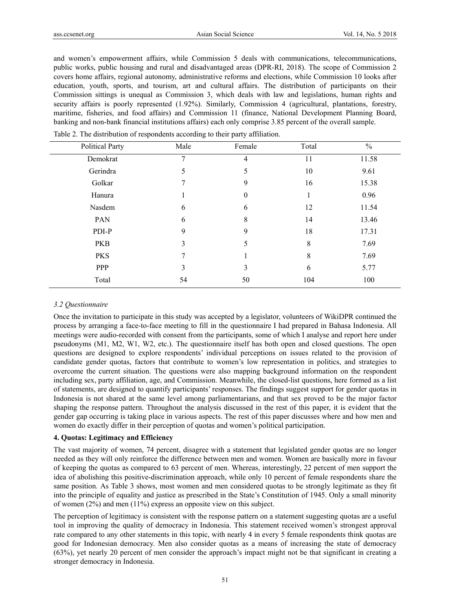and women's empowerment affairs, while Commission 5 deals with communications, telecommunications, public works, public housing and rural and disadvantaged areas (DPR-RI, 2018). The scope of Commission 2 covers home affairs, regional autonomy, administrative reforms and elections, while Commission 10 looks after education, youth, sports, and tourism, art and cultural affairs. The distribution of participants on their Commission sittings is unequal as Commission 3, which deals with law and legislations, human rights and security affairs is poorly represented (1.92%). Similarly, Commission 4 (agricultural, plantations, forestry, maritime, fisheries, and food affairs) and Commission 11 (finance, National Development Planning Board, banking and non-bank financial institutions affairs) each only comprise 3.85 percent of the overall sample.

| <b>Political Party</b> | Male           | Female       | Total | $\frac{0}{0}$ |
|------------------------|----------------|--------------|-------|---------------|
| Demokrat               | $\overline{7}$ | 4            | 11    | 11.58         |
| Gerindra               | 5              | 5            | 10    | 9.61          |
| Golkar                 |                | 9            | 16    | 15.38         |
| Hanura                 | л.             | $\mathbf{0}$ | л.    | 0.96          |
| Nasdem                 | 6              | 6            | 12    | 11.54         |
| PAN                    | 6              | 8            | 14    | 13.46         |
| PDI-P                  | 9              | 9            | 18    | 17.31         |
| <b>PKB</b>             | 3              | 5            | 8     | 7.69          |
| <b>PKS</b>             | 7              |              | 8     | 7.69          |
| PPP                    | 3              | 3            | 6     | 5.77          |
| Total                  | 54             | 50           | 104   | 100           |

Table 2. The distribution of respondents according to their party affiliation.

#### *3.2 Questionnaire*

Once the invitation to participate in this study was accepted by a legislator, volunteers of WikiDPR continued the process by arranging a face-to-face meeting to fill in the questionnaire I had prepared in Bahasa Indonesia. All meetings were audio-recorded with consent from the participants, some of which I analyse and report here under pseudonyms (M1, M2, W1, W2, etc.). The questionnaire itself has both open and closed questions. The open questions are designed to explore respondents' individual perceptions on issues related to the provision of candidate gender quotas, factors that contribute to women's low representation in politics, and strategies to overcome the current situation. The questions were also mapping background information on the respondent including sex, party affiliation, age, and Commission. Meanwhile, the closed-list questions, here formed as a list of statements, are designed to quantify participants' responses. The findings suggest support for gender quotas in Indonesia is not shared at the same level among parliamentarians, and that sex proved to be the major factor shaping the response pattern. Throughout the analysis discussed in the rest of this paper, it is evident that the gender gap occurring is taking place in various aspects. The rest of this paper discusses where and how men and women do exactly differ in their perception of quotas and women's political participation.

#### **4. Quotas: Legitimacy and Efficiency**

The vast majority of women, 74 percent, disagree with a statement that legislated gender quotas are no longer needed as they will only reinforce the difference between men and women. Women are basically more in favour of keeping the quotas as compared to 63 percent of men. Whereas, interestingly, 22 percent of men support the idea of abolishing this positive-discrimination approach, while only 10 percent of female respondents share the same position. As Table 3 shows, most women and men considered quotas to be strongly legitimate as they fit into the principle of equality and justice as prescribed in the State's Constitution of 1945. Only a small minority of women (2%) and men (11%) express an opposite view on this subject.

The perception of legitimacy is consistent with the response pattern on a statement suggesting quotas are a useful tool in improving the quality of democracy in Indonesia. This statement received women's strongest approval rate compared to any other statements in this topic, with nearly 4 in every 5 female respondents think quotas are good for Indonesian democracy. Men also consider quotas as a means of increasing the state of democracy (63%), yet nearly 20 percent of men consider the approach's impact might not be that significant in creating a stronger democracy in Indonesia.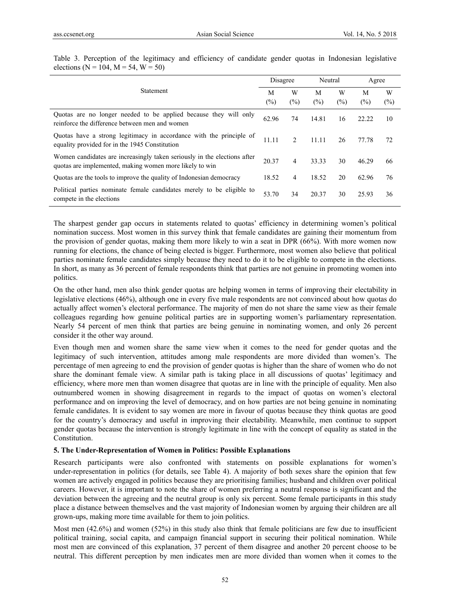|                                                                                                                                     | Disagree |        | Neutral |     | Agree  |        |
|-------------------------------------------------------------------------------------------------------------------------------------|----------|--------|---------|-----|--------|--------|
| Statement                                                                                                                           | M        | W      | M       | W   | M      | W      |
|                                                                                                                                     | $(\%)$   | $(\%)$ | $(\%)$  | (%) | $(\%)$ | $(\%)$ |
| Quotas are no longer needed to be applied because they will only<br>reinforce the difference between men and women                  | 62.96    | 74     | 14.81   | 16  | 22.22  | 10     |
| Quotas have a strong legitimacy in accordance with the principle of<br>equality provided for in the 1945 Constitution               | 11.11    | 2      | 11.11   | 26  | 77.78  | 72     |
| Women candidates are increasingly taken seriously in the elections after<br>quotas are implemented, making women more likely to win | 20.37    | 4      | 33.33   | 30  | 46.29  | 66     |
| Quotas are the tools to improve the quality of Indonesian democracy                                                                 | 18.52    | 4      | 18.52   | 20  | 62.96  | 76     |
| Political parties nominate female candidates merely to be eligible to<br>compete in the elections                                   | 53.70    | 34     | 20.37   | 30  | 25.93  | 36     |

Table 3. Perception of the legitimacy and efficiency of candidate gender quotas in Indonesian legislative elections (N = 104, M = 54, W = 50)

The sharpest gender gap occurs in statements related to quotas' efficiency in determining women's political nomination success. Most women in this survey think that female candidates are gaining their momentum from the provision of gender quotas, making them more likely to win a seat in DPR (66%). With more women now running for elections, the chance of being elected is bigger. Furthermore, most women also believe that political parties nominate female candidates simply because they need to do it to be eligible to compete in the elections. In short, as many as 36 percent of female respondents think that parties are not genuine in promoting women into politics.

On the other hand, men also think gender quotas are helping women in terms of improving their electability in legislative elections (46%), although one in every five male respondents are not convinced about how quotas do actually affect women's electoral performance. The majority of men do not share the same view as their female colleagues regarding how genuine political parties are in supporting women's parliamentary representation. Nearly 54 percent of men think that parties are being genuine in nominating women, and only 26 percent consider it the other way around.

Even though men and women share the same view when it comes to the need for gender quotas and the legitimacy of such intervention, attitudes among male respondents are more divided than women's. The percentage of men agreeing to end the provision of gender quotas is higher than the share of women who do not share the dominant female view. A similar path is taking place in all discussions of quotas' legitimacy and efficiency, where more men than women disagree that quotas are in line with the principle of equality. Men also outnumbered women in showing disagreement in regards to the impact of quotas on women's electoral performance and on improving the level of democracy, and on how parties are not being genuine in nominating female candidates. It is evident to say women are more in favour of quotas because they think quotas are good for the country's democracy and useful in improving their electability. Meanwhile, men continue to support gender quotas because the intervention is strongly legitimate in line with the concept of equality as stated in the Constitution.

# **5. The Under-Representation of Women in Politics: Possible Explanations**

Research participants were also confronted with statements on possible explanations for women's under-representation in politics (for details, see Table 4). A majority of both sexes share the opinion that few women are actively engaged in politics because they are prioritising families; husband and children over political careers. However, it is important to note the share of women preferring a neutral response is significant and the deviation between the agreeing and the neutral group is only six percent. Some female participants in this study place a distance between themselves and the vast majority of Indonesian women by arguing their children are all grown-ups, making more time available for them to join politics.

Most men (42.6%) and women (52%) in this study also think that female politicians are few due to insufficient political training, social capita, and campaign financial support in securing their political nomination. While most men are convinced of this explanation, 37 percent of them disagree and another 20 percent choose to be neutral. This different perception by men indicates men are more divided than women when it comes to the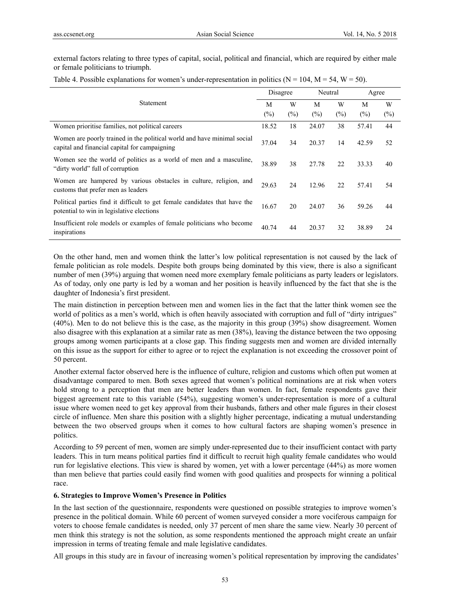external factors relating to three types of capital, social, political and financial, which are required by either male or female politicians to triumph.

| Table 4. Possible explanations for women's under-representation in politics ( $N = 104$ , $M = 54$ , $W = 50$ ). |  |  |  |  |  |
|------------------------------------------------------------------------------------------------------------------|--|--|--|--|--|
|------------------------------------------------------------------------------------------------------------------|--|--|--|--|--|

|                                                                                                                          | Disagree |          | Neutral  |          | Agree       |             |
|--------------------------------------------------------------------------------------------------------------------------|----------|----------|----------|----------|-------------|-------------|
| Statement                                                                                                                | M<br>(%) | W<br>(%) | M<br>(%) | W<br>(%) | M<br>$(\%)$ | W<br>$(\%)$ |
| Women prioritise families, not political careers                                                                         | 18.52    | 18       | 24.07    | 38       | 57.41       | 44          |
| Women are poorly trained in the political world and have minimal social<br>capital and financial capital for campaigning | 37.04    | 34       | 20.37    | 14       | 42.59       | 52          |
| Women see the world of politics as a world of men and a masculine,<br>"dirty world" full of corruption                   | 38.89    | 38       | 27.78    | 22       | 33.33       | 40          |
| Women are hampered by various obstacles in culture, religion, and<br>customs that prefer men as leaders                  | 29.63    | 24       | 12.96    | 22       | 57.41       | 54          |
| Political parties find it difficult to get female candidates that have the<br>potential to win in legislative elections  | 16.67    | 20       | 24.07    | 36       | 59.26       | 44          |
| Insufficient role models or examples of female politicians who become<br>inspirations                                    | 40.74    | 44       | 20.37    | 32       | 38.89       | 24          |

On the other hand, men and women think the latter's low political representation is not caused by the lack of female politician as role models. Despite both groups being dominated by this view, there is also a significant number of men (39%) arguing that women need more exemplary female politicians as party leaders or legislators. As of today, only one party is led by a woman and her position is heavily influenced by the fact that she is the daughter of Indonesia's first president.

The main distinction in perception between men and women lies in the fact that the latter think women see the world of politics as a men's world, which is often heavily associated with corruption and full of "dirty intrigues" (40%). Men to do not believe this is the case, as the majority in this group (39%) show disagreement. Women also disagree with this explanation at a similar rate as men (38%), leaving the distance between the two opposing groups among women participants at a close gap. This finding suggests men and women are divided internally on this issue as the support for either to agree or to reject the explanation is not exceeding the crossover point of 50 percent.

Another external factor observed here is the influence of culture, religion and customs which often put women at disadvantage compared to men. Both sexes agreed that women's political nominations are at risk when voters hold strong to a perception that men are better leaders than women. In fact, female respondents gave their biggest agreement rate to this variable (54%), suggesting women's under-representation is more of a cultural issue where women need to get key approval from their husbands, fathers and other male figures in their closest circle of influence. Men share this position with a slightly higher percentage, indicating a mutual understanding between the two observed groups when it comes to how cultural factors are shaping women's presence in politics.

According to 59 percent of men, women are simply under-represented due to their insufficient contact with party leaders. This in turn means political parties find it difficult to recruit high quality female candidates who would run for legislative elections. This view is shared by women, yet with a lower percentage (44%) as more women than men believe that parties could easily find women with good qualities and prospects for winning a political race.

#### **6. Strategies to Improve Women's Presence in Politics**

In the last section of the questionnaire, respondents were questioned on possible strategies to improve women's presence in the political domain. While 60 percent of women surveyed consider a more vociferous campaign for voters to choose female candidates is needed, only 37 percent of men share the same view. Nearly 30 percent of men think this strategy is not the solution, as some respondents mentioned the approach might create an unfair impression in terms of treating female and male legislative candidates.

All groups in this study are in favour of increasing women's political representation by improving the candidates'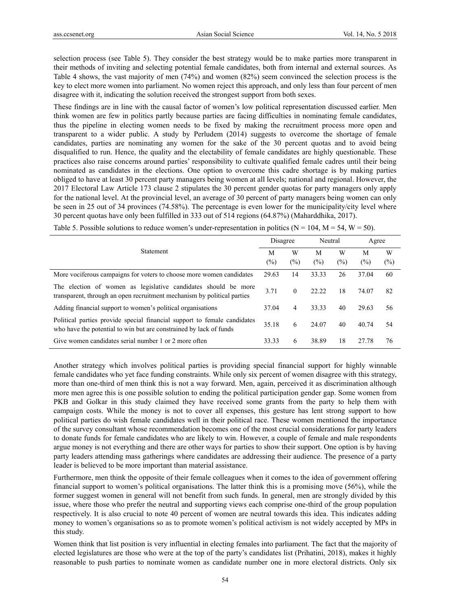selection process (see Table 5). They consider the best strategy would be to make parties more transparent in their methods of inviting and selecting potential female candidates, both from internal and external sources. As Table 4 shows, the vast majority of men (74%) and women (82%) seem convinced the selection process is the key to elect more women into parliament. No women reject this approach, and only less than four percent of men disagree with it, indicating the solution received the strongest support from both sexes.

These findings are in line with the causal factor of women's low political representation discussed earlier. Men think women are few in politics partly because parties are facing difficulties in nominating female candidates, thus the pipeline in electing women needs to be fixed by making the recruitment process more open and transparent to a wider public. A study by Perludem (2014) suggests to overcome the shortage of female candidates, parties are nominating any women for the sake of the 30 percent quotas and to avoid being disqualified to run. Hence, the quality and the electability of female candidates are highly questionable. These practices also raise concerns around parties' responsibility to cultivate qualified female cadres until their being nominated as candidates in the elections. One option to overcome this cadre shortage is by making parties obliged to have at least 30 percent party managers being women at all levels; national and regional. However, the 2017 Electoral Law Article 173 clause 2 stipulates the 30 percent gender quotas for party managers only apply for the national level. At the provincial level, an average of 30 percent of party managers being women can only be seen in 25 out of 34 provinces (74.58%). The percentage is even lower for the municipality/city level where 30 percent quotas have only been fulfilled in 333 out of 514 regions (64.87%) (Maharddhika, 2017).

|                                                                                                                                                |                     | Disagree       |             | Neutral     |             | Agree       |
|------------------------------------------------------------------------------------------------------------------------------------------------|---------------------|----------------|-------------|-------------|-------------|-------------|
| <b>Statement</b>                                                                                                                               | M<br>$\binom{0}{0}$ | W<br>(%)       | M<br>$(\%)$ | W<br>$(\%)$ | M<br>$(\%)$ | W<br>$(\%)$ |
| More vociferous campaigns for voters to choose more women candidates                                                                           | 29.63               | 14             | 33.33       | 26          | 37.04       | 60          |
| The election of women as legislative candidates should be more<br>transparent, through an open recruitment mechanism by political parties      | 3.71                | $\theta$       | 22.22       | 18          | 74.07       | 82          |
| Adding financial support to women's political organisations                                                                                    | 37.04               | $\overline{4}$ | 33.33       | 40          | 29.63       | 56          |
| Political parties provide special financial support to female candidates<br>who have the potential to win but are constrained by lack of funds | 35.18               | 6              | 24.07       | 40          | 40.74       | 54          |
| Give women candidates serial number 1 or 2 more often                                                                                          | 33.33               | 6              | 38.89       | 18          | 27.78       | 76          |

Table 5. Possible solutions to reduce women's under-representation in politics ( $N = 104$ ,  $M = 54$ ,  $W = 50$ ).

Another strategy which involves political parties is providing special financial support for highly winnable female candidates who yet face funding constraints. While only six percent of women disagree with this strategy, more than one-third of men think this is not a way forward. Men, again, perceived it as discrimination although more men agree this is one possible solution to ending the political participation gender gap. Some women from PKB and Golkar in this study claimed they have received some grants from the party to help them with campaign costs. While the money is not to cover all expenses, this gesture has lent strong support to how political parties do wish female candidates well in their political race. These women mentioned the importance of the survey consultant whose recommendation becomes one of the most crucial considerations for party leaders to donate funds for female candidates who are likely to win. However, a couple of female and male respondents argue money is not everything and there are other ways for parties to show their support. One option is by having party leaders attending mass gatherings where candidates are addressing their audience. The presence of a party leader is believed to be more important than material assistance.

Furthermore, men think the opposite of their female colleagues when it comes to the idea of government offering financial support to women's political organisations. The latter think this is a promising move (56%), while the former suggest women in general will not benefit from such funds. In general, men are strongly divided by this issue, where those who prefer the neutral and supporting views each comprise one-third of the group population respectively. It is also crucial to note 40 percent of women are neutral towards this idea. This indicates adding money to women's organisations so as to promote women's political activism is not widely accepted by MPs in this study.

Women think that list position is very influential in electing females into parliament. The fact that the majority of elected legislatures are those who were at the top of the party's candidates list (Prihatini, 2018), makes it highly reasonable to push parties to nominate women as candidate number one in more electoral districts. Only six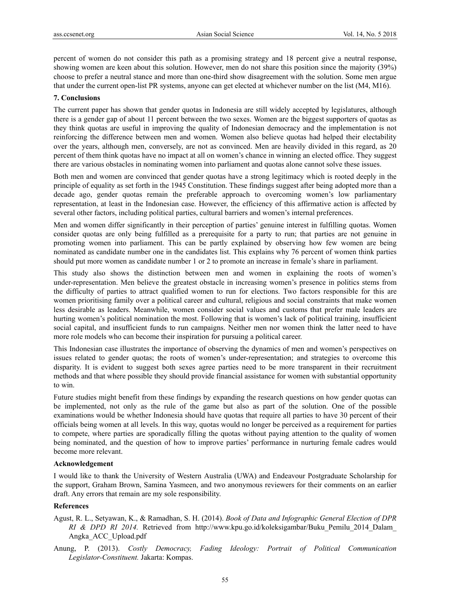percent of women do not consider this path as a promising strategy and 18 percent give a neutral response, showing women are keen about this solution. However, men do not share this position since the majority (39%) choose to prefer a neutral stance and more than one-third show disagreement with the solution. Some men argue that under the current open-list PR systems, anyone can get elected at whichever number on the list (M4, M16).

#### **7. Conclusions**

The current paper has shown that gender quotas in Indonesia are still widely accepted by legislatures, although there is a gender gap of about 11 percent between the two sexes. Women are the biggest supporters of quotas as they think quotas are useful in improving the quality of Indonesian democracy and the implementation is not reinforcing the difference between men and women. Women also believe quotas had helped their electability over the years, although men, conversely, are not as convinced. Men are heavily divided in this regard, as 20 percent of them think quotas have no impact at all on women's chance in winning an elected office. They suggest there are various obstacles in nominating women into parliament and quotas alone cannot solve these issues.

Both men and women are convinced that gender quotas have a strong legitimacy which is rooted deeply in the principle of equality as set forth in the 1945 Constitution. These findings suggest after being adopted more than a decade ago, gender quotas remain the preferable approach to overcoming women's low parliamentary representation, at least in the Indonesian case. However, the efficiency of this affirmative action is affected by several other factors, including political parties, cultural barriers and women's internal preferences.

Men and women differ significantly in their perception of parties' genuine interest in fulfilling quotas. Women consider quotas are only being fulfilled as a prerequisite for a party to run; that parties are not genuine in promoting women into parliament. This can be partly explained by observing how few women are being nominated as candidate number one in the candidates list. This explains why 76 percent of women think parties should put more women as candidate number 1 or 2 to promote an increase in female's share in parliament.

This study also shows the distinction between men and women in explaining the roots of women's under-representation. Men believe the greatest obstacle in increasing women's presence in politics stems from the difficulty of parties to attract qualified women to run for elections. Two factors responsible for this are women prioritising family over a political career and cultural, religious and social constraints that make women less desirable as leaders. Meanwhile, women consider social values and customs that prefer male leaders are hurting women's political nomination the most. Following that is women's lack of political training, insufficient social capital, and insufficient funds to run campaigns. Neither men nor women think the latter need to have more role models who can become their inspiration for pursuing a political career.

This Indonesian case illustrates the importance of observing the dynamics of men and women's perspectives on issues related to gender quotas; the roots of women's under-representation; and strategies to overcome this disparity. It is evident to suggest both sexes agree parties need to be more transparent in their recruitment methods and that where possible they should provide financial assistance for women with substantial opportunity to win.

Future studies might benefit from these findings by expanding the research questions on how gender quotas can be implemented, not only as the rule of the game but also as part of the solution. One of the possible examinations would be whether Indonesia should have quotas that require all parties to have 30 percent of their officials being women at all levels. In this way, quotas would no longer be perceived as a requirement for parties to compete, where parties are sporadically filling the quotas without paying attention to the quality of women being nominated, and the question of how to improve parties' performance in nurturing female cadres would become more relevant.

#### **Acknowledgement**

I would like to thank the University of Western Australia (UWA) and Endeavour Postgraduate Scholarship for the support, Graham Brown, Samina Yasmeen, and two anonymous reviewers for their comments on an earlier draft. Any errors that remain are my sole responsibility.

#### **References**

- Agust, R. L., Setyawan, K., & Ramadhan, S. H. (2014). *Book of Data and Infographic General Election of DPR RI & DPD RI 2014.* Retrieved from http://www.kpu.go.id/koleksigambar/Buku\_Pemilu\_2014\_Dalam\_ Angka\_ACC\_Upload.pdf
- Anung, P. (2013). *Costly Democracy, Fading Ideology: Portrait of Political Communication Legislator-Constituent.* Jakarta: Kompas.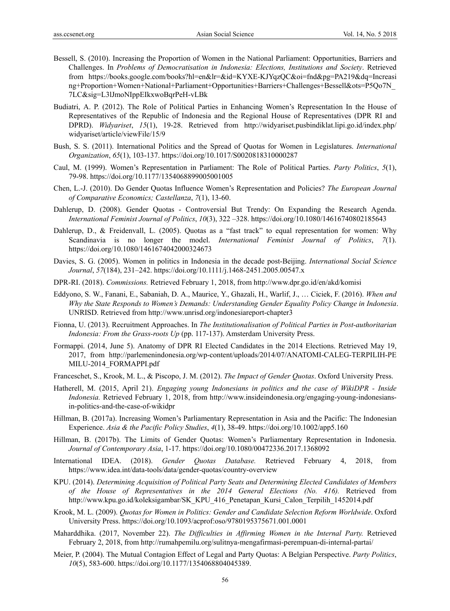- Bessell, S. (2010). Increasing the Proportion of Women in the National Parliament: Opportunities, Barriers and Challenges. In *Problems of Democratisation in Indonesia: Elections, Institutions and Society*. Retrieved from https://books.google.com/books?hl=en&lr=&id=KYXE-KJYqzQC&oi=fnd&pg=PA219&dq=Increasi ng+Proportion+Women+National+Parliament+Opportunities+Barriers+Challenges+Bessell&ots=P5Qo7N\_ 7LC&sig=L3lJmoNIppEIkxwoBqrPeH-vLBk
- Budiatri, A. P. (2012). The Role of Political Parties in Enhancing Women's Representation In the House of Representatives of the Republic of Indonesia and the Regional House of Representatives (DPR RI and DPRD). *Widyariset*, *15*(1), 19-28. Retrieved from http://widyariset.pusbindiklat.lipi.go.id/index.php/ widyariset/article/viewFile/15/9
- Bush, S. S. (2011). International Politics and the Spread of Quotas for Women in Legislatures. *International Organization*, *65*(1), 103-137. https://doi.org/10.1017/S0020818310000287
- Caul, M. (1999). Women's Representation in Parliament: The Role of Political Parties. *Party Politics*, *5*(1), 79-98. https://doi.org/10.1177/1354068899005001005
- Chen, L.-J. (2010). Do Gender Quotas Influence Women's Representation and Policies? *The European Journal of Comparative Economics; Castellanza*, *7*(1), 13-60.
- Dahlerup, D. (2008). Gender Quotas Controversial But Trendy: On Expanding the Research Agenda. *International Feminist Journal of Politics*, *10*(3), 322 –328. https://doi.org/10.1080/14616740802185643
- Dahlerup, D., & Freidenvall, L. (2005). Quotas as a "fast track" to equal representation for women: Why Scandinavia is no longer the model. *International Feminist Journal of Politics*, *7*(1). https://doi.org/10.1080/1461674042000324673
- Davies, S. G. (2005). Women in politics in Indonesia in the decade post-Beijing. *International Social Science Journal*, *57*(184), 231–242. https://doi.org/10.1111/j.1468-2451.2005.00547.x
- DPR-RI. (2018). *Commissions.* Retrieved February 1, 2018, from http://www.dpr.go.id/en/akd/komisi
- Eddyono, S. W., Fanani, E., Sabaniah, D. A., Maurice, Y., Ghazali, H., Warlif, J., … Ciciek, F. (2016). *When and Why the State Responds to Women's Demands: Understanding Gender Equality Policy Change in Indonesia*. UNRISD. Retrieved from http://www.unrisd.org/indonesiareport-chapter3
- Fionna, U. (2013). Recruitment Approaches. In *The Institutionalisation of Political Parties in Post-authoritarian Indonesia: From the Grass-roots Up* (pp. 117-137). Amsterdam University Press.
- Formappi. (2014, June 5). Anatomy of DPR RI Elected Candidates in the 2014 Elections. Retrieved May 19, 2017, from http://parlemenindonesia.org/wp-content/uploads/2014/07/ANATOMI-CALEG-TERPILIH-PE MILU-2014\_FORMAPPI.pdf
- Franceschet, S., Krook, M. L., & Piscopo, J. M. (2012). *The Impact of Gender Quotas*. Oxford University Press.
- Hatherell, M. (2015, April 21). *Engaging young Indonesians in politics and the case of WikiDPR Inside Indonesia.* Retrieved February 1, 2018, from http://www.insideindonesia.org/engaging-young-indonesiansin-politics-and-the-case-of-wikidpr
- Hillman, B. (2017a). Increasing Women's Parliamentary Representation in Asia and the Pacific: The Indonesian Experience. *Asia & the Pacific Policy Studies*, *4*(1), 38-49. https://doi.org/10.1002/app5.160
- Hillman, B. (2017b). The Limits of Gender Quotas: Women's Parliamentary Representation in Indonesia. *Journal of Contemporary Asia*, 1-17. https://doi.org/10.1080/00472336.2017.1368092
- International IDEA. (2018). *Gender Quotas Database.* Retrieved February 4, 2018, from https://www.idea.int/data-tools/data/gender-quotas/country-overview
- KPU. (2014). *Determining Acquisition of Political Party Seats and Determining Elected Candidates of Members of the House of Representatives in the 2014 General Elections (No. 416).* Retrieved from http://www.kpu.go.id/koleksigambar/SK\_KPU\_416\_Penetapan\_Kursi\_Calon\_Terpilih\_1452014.pdf
- Krook, M. L. (2009). *Quotas for Women in Politics: Gender and Candidate Selection Reform Worldwide*. Oxford University Press. https://doi.org/10.1093/acprof:oso/9780195375671.001.0001
- Maharddhika. (2017, November 22). *The Difficulties in Affirming Women in the Internal Party.* Retrieved February 2, 2018, from http://rumahpemilu.org/sulitnya-mengafirmasi-perempuan-di-internal-partai/
- Meier, P. (2004). The Mutual Contagion Effect of Legal and Party Quotas: A Belgian Perspective. *Party Politics*, *10*(5), 583-600. https://doi.org/10.1177/1354068804045389.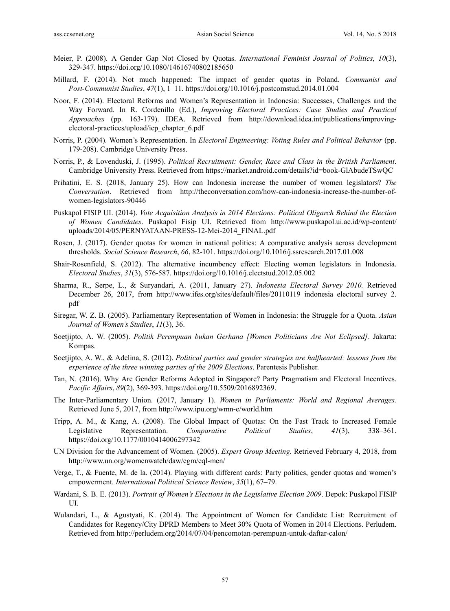- Meier, P. (2008). A Gender Gap Not Closed by Quotas. *International Feminist Journal of Politics*, *10*(3), 329-347. https://doi.org/10.1080/14616740802185650
- Millard, F. (2014). Not much happened: The impact of gender quotas in Poland. *Communist and Post-Communist Studies*, *47*(1), 1–11. https://doi.org/10.1016/j.postcomstud.2014.01.004
- Noor, F. (2014). Electoral Reforms and Women's Representation in Indonesia: Successes, Challenges and the Way Forward. In R. Cordenillo (Ed.), *Improving Electoral Practices: Case Studies and Practical Approaches* (pp. 163-179). IDEA. Retrieved from http://download.idea.int/publications/improvingelectoral-practices/upload/iep\_chapter\_6.pdf
- Norris, P. (2004). Women's Representation. In *Electoral Engineering: Voting Rules and Political Behavior* (pp. 179-208). Cambridge University Press.
- Norris, P., & Lovenduski, J. (1995). *Political Recruitment: Gender, Race and Class in the British Parliament*. Cambridge University Press. Retrieved from https://market.android.com/details?id=book-GlAbudeTSwQC
- Prihatini, E. S. (2018, January 25). How can Indonesia increase the number of women legislators? *The Conversation*. Retrieved from http://theconversation.com/how-can-indonesia-increase-the-number-ofwomen-legislators-90446
- Puskapol FISIP UI. (2014). *Vote Acquisition Analysis in 2014 Elections: Political Oligarch Behind the Election of Women Candidates*. Puskapol Fisip UI. Retrieved from http://www.puskapol.ui.ac.id/wp-content/ uploads/2014/05/PERNYATAAN-PRESS-12-Mei-2014\_FINAL.pdf
- Rosen, J. (2017). Gender quotas for women in national politics: A comparative analysis across development thresholds. *Social Science Research*, *66*, 82-101. https://doi.org/10.1016/j.ssresearch.2017.01.008
- Shair-Rosenfield, S. (2012). The alternative incumbency effect: Electing women legislators in Indonesia. *Electoral Studies*, *31*(3), 576-587. https://doi.org/10.1016/j.electstud.2012.05.002
- Sharma, R., Serpe, L., & Suryandari, A. (2011, January 27). *Indonesia Electoral Survey 2010.* Retrieved December 26, 2017, from http://www.ifes.org/sites/default/files/20110119 indonesia electoral survey 2. pdf
- Siregar, W. Z. B. (2005). Parliamentary Representation of Women in Indonesia: the Struggle for a Quota. *Asian Journal of Women's Studies*, *11*(3), 36.
- Soetjipto, A. W. (2005). *Politik Perempuan bukan Gerhana [Women Politicians Are Not Eclipsed]*. Jakarta: Kompas.
- Soetjipto, A. W., & Adelina, S. (2012). *Political parties and gender strategies are halfhearted: lessons from the experience of the three winning parties of the 2009 Elections*. Parentesis Publisher.
- Tan, N. (2016). Why Are Gender Reforms Adopted in Singapore? Party Pragmatism and Electoral Incentives. *Pacific Affairs*, *89*(2), 369-393. https://doi.org/10.5509/2016892369.
- The Inter-Parliamentary Union. (2017, January 1). *Women in Parliaments: World and Regional Averages.* Retrieved June 5, 2017, from http://www.ipu.org/wmn-e/world.htm
- Tripp, A. M., & Kang, A. (2008). The Global Impact of Quotas: On the Fast Track to Increased Female Legislative Representation. *Comparative Political Studies*, *41*(3), 338–361. https://doi.org/10.1177/0010414006297342
- UN Division for the Advancement of Women. (2005). *Expert Group Meeting.* Retrieved February 4, 2018, from http://www.un.org/womenwatch/daw/egm/eql-men/
- Verge, T., & Fuente, M. de la. (2014). Playing with different cards: Party politics, gender quotas and women's empowerment. *International Political Science Review*, *35*(1), 67–79.
- Wardani, S. B. E. (2013). *Portrait of Women's Elections in the Legislative Election 2009*. Depok: Puskapol FISIP UI.
- Wulandari, L., & Agustyati, K. (2014). The Appointment of Women for Candidate List: Recruitment of Candidates for Regency/City DPRD Members to Meet 30% Quota of Women in 2014 Elections. Perludem. Retrieved from http://perludem.org/2014/07/04/pencomotan-perempuan-untuk-daftar-calon/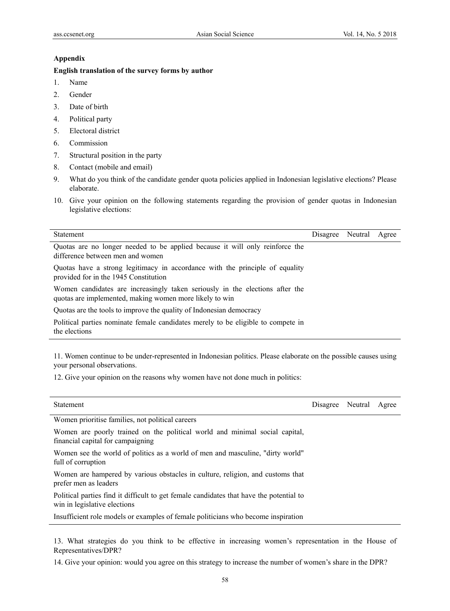### **Appendix**

#### **English translation of the survey forms by author**

- 1. Name
- 2. Gender
- 3. Date of birth
- 4. Political party
- 5. Electoral district
- 6. Commission
- 7. Structural position in the party
- 8. Contact (mobile and email)
- 9. What do you think of the candidate gender quota policies applied in Indonesian legislative elections? Please elaborate.
- 10. Give your opinion on the following statements regarding the provision of gender quotas in Indonesian legislative elections:

| <b>Statement</b>                                                                                                                                | Disagree Neutral Agree |  |
|-------------------------------------------------------------------------------------------------------------------------------------------------|------------------------|--|
| Quotas are no longer needed to be applied because it will only reinforce the<br>difference between men and women                                |                        |  |
| Quotas have a strong legitimacy in accordance with the principle of equality<br>provided for in the 1945 Constitution                           |                        |  |
| Women candidates are increasingly taken seriously in the elections after the<br>quotas are implemented, making women more likely to win         |                        |  |
| Quotas are the tools to improve the quality of Indonesian democracy                                                                             |                        |  |
| Political parties nominate female candidates merely to be eligible to compete in<br>the elections                                               |                        |  |
|                                                                                                                                                 |                        |  |
| 11. Women continue to be under-represented in Indonesian politics. Please elaborate on the possible causes using<br>your personal observations. |                        |  |

12. Give your opinion on the reasons why women have not done much in politics:

| <b>Statement</b>                                 | Disagree Neutral Agree |  |
|--------------------------------------------------|------------------------|--|
| Women prioritise families, not political careers |                        |  |

Women are poorly trained on the political world and minimal social capital, financial capital for campaigning

Women see the world of politics as a world of men and masculine, "dirty world" full of corruption

Women are hampered by various obstacles in culture, religion, and customs that prefer men as leaders

Political parties find it difficult to get female candidates that have the potential to win in legislative elections

Insufficient role models or examples of female politicians who become inspiration

13. What strategies do you think to be effective in increasing women's representation in the House of Representatives/DPR?

14. Give your opinion: would you agree on this strategy to increase the number of women's share in the DPR?